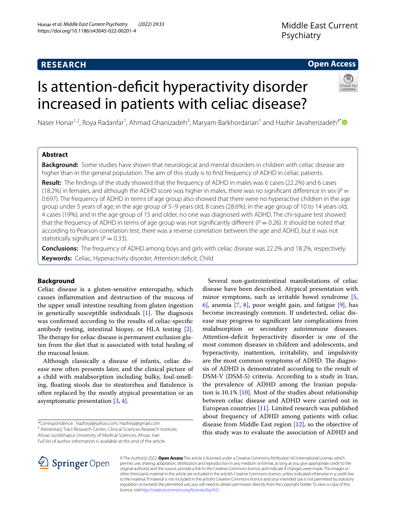# **Open Access**

# Is attention-defcit hyperactivity disorder increased in patients with celiac disease?



Naser Honar<sup>1,2</sup>, Roya Radanfar<sup>1</sup>, Ahmad Ghanizadeh<sup>3</sup>, Maryam Barkhordarian<sup>1</sup> and Hazhir Javaherizadeh<sup>4[\\*](http://orcid.org/0000-0001-7898-4589)</sup>

# **Abstract**

**Background:** Some studies have shown that neurological and mental disorders in children with celiac disease are higher than in the general population. The aim of this study is to fnd frequency of ADHD in celiac patients.

**Result:** The findings of the study showed that the frequency of ADHD in males was 6 cases (22.2%) and 6 cases (18.2%) in females, and although the ADHD score was higher in males, there was no significant difference in sex ( $P =$ 0.697). The frequency of ADHD in terms of age group also showed that there were no hyperactive children in the age group under 5 years of age; in the age group of 5–9 years old, 8 cases (28.6%); in the age group of 10 to 14 years old, 4 cases (19%); and in the age group of 15 and older, no one was diagnosed with ADHD. The chi-square test showed that the frequency of ADHD in terms of age group was not significantly different ( $P = 0.26$ ). It should be noted that according to Pearson correlation test, there was a reverse correlation between the age and ADHD, but it was not statistically significant ( $P = 0.33$ ).

**Conclusions:** The frequency of ADHD among boys and girls with celiac disease was 22.2% and 18.2%, respectively. **Keywords:** Celiac, Hyperactivity disorder, Attention deficit, Child

# **Background**

Celiac disease is a gluten-sensitive enteropathy, which causes infammation and destruction of the mucosa of the upper small intestine resulting from gluten ingestion in genetically susceptible individuals  $[1]$  $[1]$ . The diagnosis was confrmed according to the results of celiac-specifc antibody testing, intestinal biopsy, or HLA testing [\[2](#page-4-1)]. The therapy for celiac disease is permanent exclusion gluten from the diet that is associated with total healing of the mucosal lesion.

Although classically a disease of infants, celiac disease now often presents later, and the clinical picture of a child with malabsorption including bulky, foul-smelling, foating stools due to steatorrhea and fatulence is often replaced by the mostly atypical presentation or an asymptomatic presentation [\[3](#page-4-2), [4\]](#page-4-3).

Ahvaz Jundishapur University of Medical Sciences, Ahvaz, Iran

Full list of author information is available at the end of the article



© The Author(s) 2022. **Open Access** This article is licensed under a Creative Commons Attribution 4.0 International License, which permits use, sharing, adaptation, distribution and reproduction in any medium or format, as long as you give appropriate credit to the original author(s) and the source, provide a link to the Creative Commons licence, and indicate if changes were made. The images or other third party material in this article are included in the article's Creative Commons licence, unless indicated otherwise in a credit line to the material. If material is not included in the article's Creative Commons licence and your intended use is not permitted by statutory regulation or exceeds the permitted use, you will need to obtain permission directly from the copyright holder. To view a copy of this licence, visi[thttp://creativecommons.org/licenses/by/4.0/](http://creativecommons.org/licenses/by/4.0/).

Several non-gastrointestinal manifestations of celiac disease have been described. Atypical presentation with minor symptoms, such as irritable bowel syndrome [\[5](#page-4-4), [6\]](#page-4-5), anemia [\[7](#page-4-6), [8\]](#page-4-7), poor weight gain, and fatigue [[9\]](#page-4-8), has become increasingly common. If undetected, celiac disease may progress to signifcant late complications from malabsorption or secondary autoimmune diseases. Attention-deficit hyperactivity disorder is one of the most common diseases in children and adolescents, and hyperactivity, inattention, irritability, and impulsivity are the most common symptoms of ADHD. The diagnosis of ADHD is demonstrated according to the result of DSM-V (DSM-5) criteria. According to a study in Iran, the prevalence of ADHD among the Iranian population is 10.1% [\[10](#page-4-9)]. Most of the studies about relationship between celiac disease and ADHD were carried out in European countries [[11\]](#page-4-10). Limited research was published about frequency of ADHD among patients with celiac disease from Middle East region [[12\]](#page-4-11), so the objective of this study was to evaluate the association of ADHD and

<sup>\*</sup>Correspondence: Hazhirja@yahoo.com; Hazhirja@gmail.com 4 Alimentary Tract Research Center, Clinical Sciences Research Institute,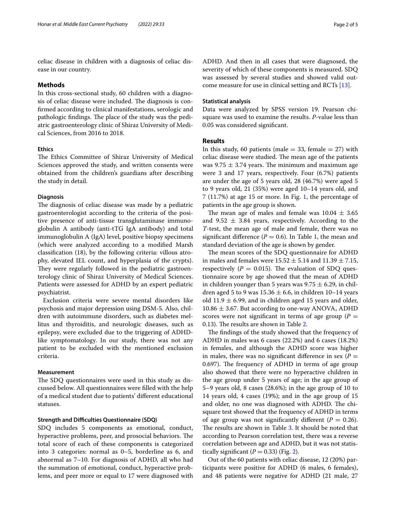celiac disease in children with a diagnosis of celiac disease in our country.

## **Methods**

In this cross-sectional study, 60 children with a diagnosis of celiac disease were included. The diagnosis is confrmed according to clinical manifestations, serologic and pathologic findings. The place of the study was the pediatric gastroenterology clinic of Shiraz University of Medical Sciences, from 2016 to 2018.

# **Ethics**

The Ethics Committee of Shiraz University of Medical Sciences approved the study, and written consents were obtained from the children's guardians after describing the study in detail.

#### **Diagnosis**

The diagnosis of celiac disease was made by a pediatric gastroenterologist according to the criteria of the positive presence of anti-tissue transglutaminase immunoglobulin A antibody (anti-tTG IgA antibody) and total immunoglobulin A (IgA) level, positive biopsy specimens (which were analyzed according to a modifed Marsh classifcation (18), by the following criteria: villous atrophy, elevated IEL count, and hyperplasia of the crypts). They were regularly followed in the pediatric gastroenterology clinic of Shiraz University of Medical Sciences. Patients were assessed for ADHD by an expert pediatric psychiatrist.

Exclusion criteria were severe mental disorders like psychosis and major depression using DSM-5. Also, children with autoimmune disorders, such as diabetes mellitus and thyroiditis, and neurologic diseases, such as epilepsy, were excluded due to the triggering of ADHDlike symptomatology. In our study, there was not any patient to be excluded with the mentioned exclusion criteria.

## **Measurement**

The SDQ questionnaires were used in this study as discussed below. All questionnaires were flled with the help of a medical student due to patients' diferent educational statuses.

# **Strength and Difficulties Questionnaire (SDQ)**

SDQ includes 5 components as emotional, conduct, hyperactive problems, peer, and prosocial behaviors. The total score of each of these components is categorized into 3 categories: normal as 0–5, borderline as 6, and abnormal as 7–10. For diagnosis of ADHD, all who had the summation of emotional, conduct, hyperactive problems, and peer more or equal to 17 were diagnosed with ADHD. And then in all cases that were diagnosed, the severity of which of these components is measured. SDQ was assessed by several studies and showed valid outcome measure for use in clinical setting and RCTs [\[13](#page-4-12)].

## **Statistical analysis**

Data were analyzed by SPSS version 19. Pearson chisquare was used to examine the results. *P*-value less than 0.05 was considered signifcant.

## **Results**

In this study, 60 patients (male  $=$  33, female  $=$  27) with celiac disease were studied. The mean age of the patients was 9.75  $\pm$  3.74 years. The minimum and maximum age were 3 and 17 years, respectively. Four (6.7%) patients are under the age of 5 years old, 28 (46.7%) were aged 5 to 9 years old, 21 (35%) were aged 10–14 years old, and 7 (11.7%) at age 15 or more. In Fig. [1,](#page-2-0) the percentage of patients in the age group is shown.

The mean age of males and female was  $10.04 \pm 3.65$ and 9.52  $\pm$  3.84 years, respectively. According to the *T*-test, the mean age of male and female, there was no significant difference ( $P = 0.6$ ). In Table [1,](#page-2-1) the mean and standard deviation of the age is shown by gender.

The mean scores of the SDQ questionnaire for ADHD in males and females were  $15.52 \pm 5.14$  and  $11.39 \pm 7.15$ , respectively ( $P = 0.015$ ). The evaluation of SDQ questionnaire score by age showed that the mean of ADHD in children younger than 5 years was  $9.75 \pm 6.29$ , in children aged 5 to 9 was  $15.36 \pm 6.6$ , in children 10-14 years old 11.9  $\pm$  6.99, and in children aged 15 years and older,  $10.86 \pm 3.67$ . But according to one-way ANOVA, ADHD scores were not significant in terms of age group  $(P =$ 0.13). The results are shown in Table [2](#page-2-2).

The findings of the study showed that the frequency of ADHD in males was 6 cases (22.2%) and 6 cases (18.2%) in females, and although the ADHD score was higher in males, there was no significant difference in sex  $(P =$ 0.697). The frequency of ADHD in terms of age group also showed that there were no hyperactive children in the age group under 5 years of age; in the age group of 5–9 years old, 8 cases (28.6%); in the age group of 10 to 14 years old, 4 cases (19%); and in the age group of 15 and older, no one was diagnosed with ADHD. The chisquare test showed that the frequency of ADHD in terms of age group was not significantly different  $(P = 0.26)$ . The results are shown in Table [3.](#page-2-3) It should be noted that according to Pearson correlation test, there was a reverse correlation between age and ADHD, but it was not statistically significant  $(P = 0.33)$  (Fig. [2\)](#page-3-0).

Out of the 60 patients with celiac disease, 12 (20%) participants were positive for ADHD (6 males, 6 females), and 48 patients were negative for ADHD (21 male, 27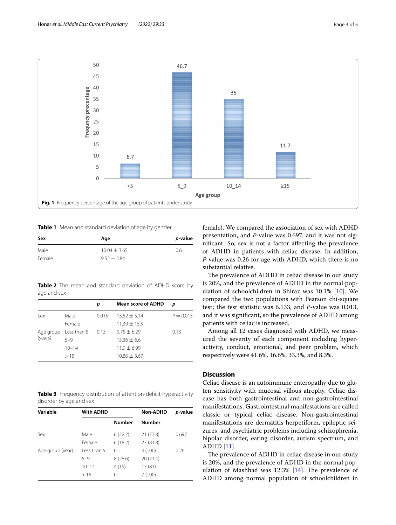

<span id="page-2-1"></span><span id="page-2-0"></span>**Table 1** Mean and standard deviation of age by gender

| Sex    | Age              | <i>p</i> -value |  |
|--------|------------------|-----------------|--|
| Male   | $10.04 \pm 3.65$ | 0.6             |  |
| Female | $9.52 + 3.84$    |                 |  |

<span id="page-2-2"></span>**Table 2** The mean and standard deviation of ADHD score by age and sex

|         |                       | p     | <b>Mean score of ADHD</b> | p           |
|---------|-----------------------|-------|---------------------------|-------------|
| Sex     | Male                  | 0.015 | $15.52 \pm 5.14$          | $P = 0.015$ |
|         | Female                |       | $11.39 + 15.5$            |             |
| (years) | Age group Less than 5 | 0.13  | $9.75 \pm 6.29$           | 0.13        |
|         | $5 - 9$               |       | $15.36 \pm 6.6$           |             |
|         | $10 - 14$             |       | $11.9 + 6.99$             |             |
|         | >15                   |       | $10.86 + 3.67$            |             |

<span id="page-2-3"></span>**Table 3** Frequency distribution of attention-deficit hyperactivity disorder by age and sex

| Variable         | <b>With ADHD</b> |               | <b>Non-ADHD</b> | p-value |
|------------------|------------------|---------------|-----------------|---------|
|                  |                  | <b>Number</b> | <b>Number</b>   |         |
| Sex              | Male             | 6(22.2)       | 21 (77.8)       | 0.697   |
|                  | Female           | 6(18.2)       | 27 (81.8)       |         |
| Age group (year) | Less than 5      | 0             | 4(100)          | 0.26    |
|                  | $5 - 9$          | 8(28.6)       | 20(71.4)        |         |
|                  | $10 - 14$        | 4(19)         | 17(81)          |         |
|                  | >15              | 0             | 7(100)          |         |

female). We compared the association of sex with ADHD presentation, and *P*-value was 0.697, and it was not signifcant. So, sex is not a factor afecting the prevalence of ADHD in patients with celiac disease. In addition, *P*-value was 0.26 for age with ADHD, which there is no substantial relative.

The prevalence of ADHD in celiac disease in our study is 20%, and the prevalence of ADHD in the normal population of schoolchildren in Shiraz was 10.1% [[10\]](#page-4-9). We compared the two populations with Pearson chi-square test; the test statistic was 6.133, and *P*-value was 0.013, and it was signifcant, so the prevalence of ADHD among patients with celiac is increased.

Among all 12 cases diagnosed with ADHD, we measured the severity of each component including hyperactivity, conduct, emotional, and peer problem, which respectively were 41.6%, 16.6%, 33.3%, and 8.3%.

# **Discussion**

Celiac disease is an autoimmune enteropathy due to gluten sensitivity with mucosal villous atrophy. Celiac disease has both gastrointestinal and non-gastrointestinal manifestations. Gastrointestinal manifestations are called classic or typical celiac disease. Non-gastrointestinal manifestations are dermatitis herpetiform, epileptic seizures, and psychiatric problems including schizophrenia, bipolar disorder, eating disorder, autism spectrum, and ADHD [\[11](#page-4-10)].

The prevalence of ADHD in celiac disease in our study is 20%, and the prevalence of ADHD in the normal population of Mashhad was  $12.3\%$  [\[14](#page-4-13)]. The prevalence of ADHD among normal population of schoolchildren in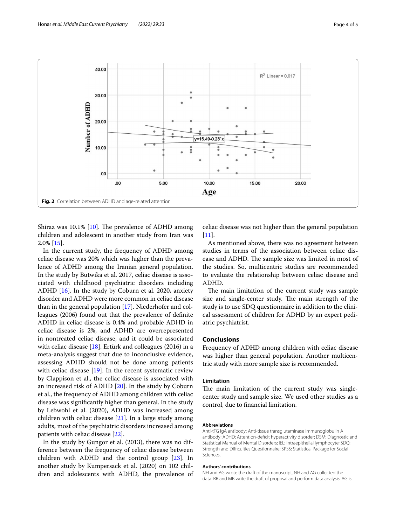

<span id="page-3-0"></span>Shiraz was  $10.1\%$  $10.1\%$  [10]. The prevalence of ADHD among children and adolescent in another study from Iran was 2.0% [\[15\]](#page-4-14).

In the current study, the frequency of ADHD among celiac disease was 20% which was higher than the prevalence of ADHD among the Iranian general population. In the study by Butwika et al. 2017, celiac disease is associated with childhood psychiatric disorders including ADHD [\[16](#page-4-15)]. In the study by Coburn et al. 2020, anxiety disorder and ADHD were more common in celiac disease than in the general population [[17\]](#page-4-16). Niederhofer and colleagues (2006) found out that the prevalence of defnite ADHD in celiac disease is 0.4% and probable ADHD in celiac disease is 2%, and ADHD are overrepresented in nontreated celiac disease, and it could be associated with celiac disease [[18\]](#page-4-17). Ertürk and colleagues (2016) in a meta-analysis suggest that due to inconclusive evidence, assessing ADHD should not be done among patients with celiac disease  $[19]$  $[19]$  $[19]$ . In the recent systematic review by Clappison et al., the celiac disease is associated with an increased risk of ADHD [[20](#page-4-19)]. In the study by Coburn et al., the frequency of ADHD among children with celiac disease was signifcantly higher than general. In the study by Lebwohl et al. (2020), ADHD was increased among children with celiac disease  $[21]$  $[21]$  $[21]$ . In a large study among adults, most of the psychiatric disorders increased among patients with celiac disease [\[22\]](#page-4-21).

In the study by Gungor et al. (2013), there was no difference between the frequency of celiac disease between children with ADHD and the control group [\[23\]](#page-4-22). In another study by Kumpersack et al. (2020) on 102 children and adolescents with ADHD, the prevalence of

celiac disease was not higher than the general population  $[11]$  $[11]$ .

As mentioned above, there was no agreement between studies in terms of the association between celiac disease and ADHD. The sample size was limited in most of the studies. So, multicentric studies are recommended to evaluate the relationship between celiac disease and ADHD.

The main limitation of the current study was sample size and single-center study. The main strength of the study is to use SDQ questionnaire in addition to the clinical assessment of children for ADHD by an expert pediatric psychiatrist.

# **Conclusions**

Frequency of ADHD among children with celiac disease was higher than general population. Another multicentric study with more sample size is recommended.

## **Limitation**

The main limitation of the current study was singlecenter study and sample size. We used other studies as a control, due to fnancial limitation.

## **Abbreviations**

Anti-tTG IgA antibody: Anti-tissue transglutaminase immunoglobulin A antibody; ADHD: Attention-defcit hyperactivity disorder; DSM: Diagnostic and Statistical Manual of Mental Disorders; IEL: Intraepithelial lymphocyte; SDQ: Strength and Difculties Questionnaire; SPSS: Statistical Package for Social Sciences.

#### **Authors' contributions**

NH and AG wrote the draft of the manuscript. NH and AG collected the data. RR and MB write the draft of proposal and perform data analysis. AG is